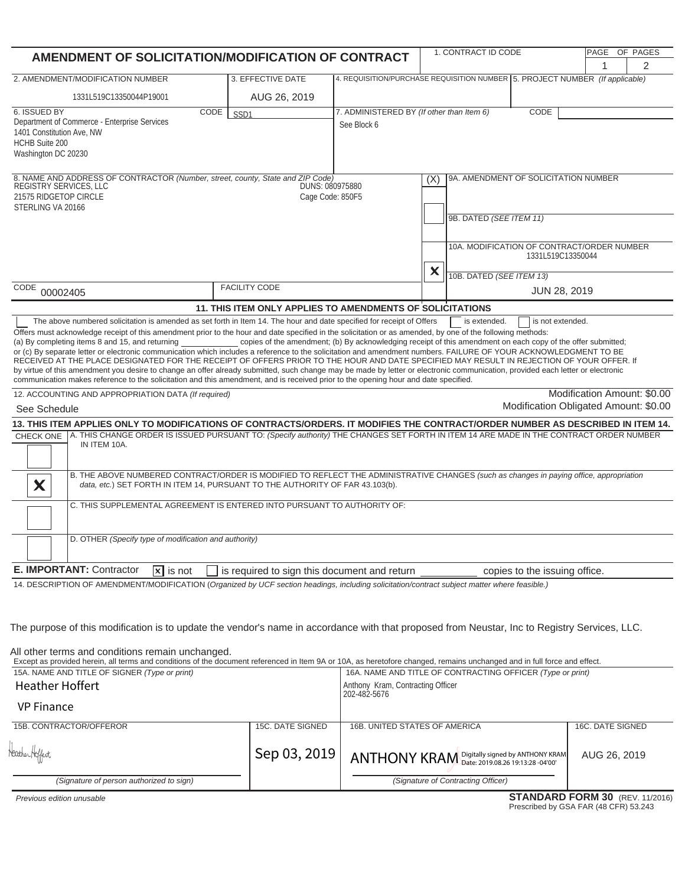| AMENDMENT OF SOLICITATION/MODIFICATION OF CONTRACT                                                                                                                                                                                                                                                                                                                                                                                                                                                                                                                                                                                                                                                                                                                                                                                                      |                                                                                                              |                                                                                                  | 1. CONTRACT ID CODE                                                          | PAGE OF PAGES                         |                             |   |
|---------------------------------------------------------------------------------------------------------------------------------------------------------------------------------------------------------------------------------------------------------------------------------------------------------------------------------------------------------------------------------------------------------------------------------------------------------------------------------------------------------------------------------------------------------------------------------------------------------------------------------------------------------------------------------------------------------------------------------------------------------------------------------------------------------------------------------------------------------|--------------------------------------------------------------------------------------------------------------|--------------------------------------------------------------------------------------------------|------------------------------------------------------------------------------|---------------------------------------|-----------------------------|---|
|                                                                                                                                                                                                                                                                                                                                                                                                                                                                                                                                                                                                                                                                                                                                                                                                                                                         |                                                                                                              |                                                                                                  |                                                                              |                                       | 1                           | 2 |
| 2. AMENDMENT/MODIFICATION NUMBER                                                                                                                                                                                                                                                                                                                                                                                                                                                                                                                                                                                                                                                                                                                                                                                                                        | 3. EFFECTIVE DATE                                                                                            |                                                                                                  | 4. REQUISITION/PURCHASE REQUISITION NUMBER 5. PROJECT NUMBER (If applicable) |                                       |                             |   |
| 1331L519C13350044P19001                                                                                                                                                                                                                                                                                                                                                                                                                                                                                                                                                                                                                                                                                                                                                                                                                                 | AUG 26, 2019                                                                                                 |                                                                                                  |                                                                              |                                       |                             |   |
| 6. ISSUED BY<br>CODE<br>Department of Commerce - Enterprise Services<br>1401 Constitution Ave, NW<br><b>HCHB Suite 200</b><br>Washington DC 20230                                                                                                                                                                                                                                                                                                                                                                                                                                                                                                                                                                                                                                                                                                       | SSD <sub>1</sub>                                                                                             | 7. ADMINISTERED BY (If other than Item 6)<br>See Block 6                                         |                                                                              | CODE                                  |                             |   |
| 8. NAME AND ADDRESS OF CONTRACTOR (Number, street, county, State and ZIP Code)<br>REGISTRY SERVICES, LLC<br>21575 RIDGETOP CIRCLE<br>STERLING VA 20166                                                                                                                                                                                                                                                                                                                                                                                                                                                                                                                                                                                                                                                                                                  | DUNS: 080975880<br>Cage Code: 850F5                                                                          | 9A. AMENDMENT OF SOLICITATION NUMBER<br>(X)<br>9B. DATED (SEE ITEM 11)                           |                                                                              |                                       |                             |   |
|                                                                                                                                                                                                                                                                                                                                                                                                                                                                                                                                                                                                                                                                                                                                                                                                                                                         |                                                                                                              | 10A. MODIFICATION OF CONTRACT/ORDER NUMBER<br>1331L519C13350044<br>X<br>10B. DATED (SEE ITEM 13) |                                                                              |                                       |                             |   |
| CODE<br>00002405                                                                                                                                                                                                                                                                                                                                                                                                                                                                                                                                                                                                                                                                                                                                                                                                                                        | <b>FACILITY CODE</b>                                                                                         |                                                                                                  |                                                                              | JUN 28, 2019                          |                             |   |
|                                                                                                                                                                                                                                                                                                                                                                                                                                                                                                                                                                                                                                                                                                                                                                                                                                                         | 11. THIS ITEM ONLY APPLIES TO AMENDMENTS OF SOLICITATIONS                                                    |                                                                                                  |                                                                              |                                       |                             |   |
| Offers must acknowledge receipt of this amendment prior to the hour and date specified in the solicitation or as amended, by one of the following methods:<br>(a) By completing items 8 and 15, and returning<br>or (c) By separate letter or electronic communication which includes a reference to the solicitation and amendment numbers. FAILURE OF YOUR ACKNOWLEDGMENT TO BE<br>RECEIVED AT THE PLACE DESIGNATED FOR THE RECEIPT OF OFFERS PRIOR TO THE HOUR AND DATE SPECIFIED MAY RESULT IN REJECTION OF YOUR OFFER. If<br>by virtue of this amendment you desire to change an offer already submitted, such change may be made by letter or electronic communication, provided each letter or electronic<br>communication makes reference to the solicitation and this amendment, and is received prior to the opening hour and date specified. | copies of the amendment; (b) By acknowledging receipt of this amendment on each copy of the offer submitted; |                                                                                                  |                                                                              |                                       |                             |   |
| 12. ACCOUNTING AND APPROPRIATION DATA (If required)                                                                                                                                                                                                                                                                                                                                                                                                                                                                                                                                                                                                                                                                                                                                                                                                     |                                                                                                              |                                                                                                  |                                                                              |                                       | Modification Amount: \$0.00 |   |
| See Schedule                                                                                                                                                                                                                                                                                                                                                                                                                                                                                                                                                                                                                                                                                                                                                                                                                                            |                                                                                                              |                                                                                                  |                                                                              | Modification Obligated Amount: \$0.00 |                             |   |
| 13. THIS ITEM APPLIES ONLY TO MODIFICATIONS OF CONTRACTS/ORDERS. IT MODIFIES THE CONTRACT/ORDER NUMBER AS DESCRIBED IN ITEM 14.<br>CHECK ONE   A. THIS CHANGE ORDER IS ISSUED PURSUANT TO: (Specify authority) THE CHANGES SET FORTH IN ITEM 14 ARE MADE IN THE CONTRACT ORDER NUMBER<br>IN ITEM 10A.<br>B. THE ABOVE NUMBERED CONTRACT/ORDER IS MODIFIED TO REFLECT THE ADMINISTRATIVE CHANGES (such as changes in paying office, appropriation<br>X<br>data, etc.) SET FORTH IN ITEM 14, PURSUANT TO THE AUTHORITY OF FAR 43.103(b).<br>C. THIS SUPPLEMENTAL AGREEMENT IS ENTERED INTO PURSUANT TO AUTHORITY OF:                                                                                                                                                                                                                                      |                                                                                                              |                                                                                                  |                                                                              |                                       |                             |   |
| D. OTHER (Specify type of modification and authority)                                                                                                                                                                                                                                                                                                                                                                                                                                                                                                                                                                                                                                                                                                                                                                                                   |                                                                                                              |                                                                                                  |                                                                              |                                       |                             |   |
| E. IMPORTANT: Contractor<br>$\overline{\mathbf{x}}$ is not                                                                                                                                                                                                                                                                                                                                                                                                                                                                                                                                                                                                                                                                                                                                                                                              | is required to sign this document and return                                                                 |                                                                                                  |                                                                              | copies to the issuing office.         |                             |   |
| 14. DESCRIPTION OF AMENDMENT/MODIFICATION (Organized by UCF section headings, including solicitation/contract subject matter where feasible.)<br>The purpose of this modification is to update the vendor's name in accordance with that proposed from Neustar, Inc to Registry Services, LLC.<br>All other terms and conditions remain unchanged.<br>Except as provided herein, all terms and conditions of the document referenced in Item 9A or 10A, as heretofore changed, remains unchanged and in full force and effect.<br>15A. NAME AND TITLE OF SIGNER (Type or print)<br><b>Heather Hoffert</b>                                                                                                                                                                                                                                               |                                                                                                              | Anthony Kram, Contracting Officer<br>202-482-5676                                                | 16A. NAME AND TITLE OF CONTRACTING OFFICER (Type or print)                   |                                       |                             |   |
| <b>VP Finance</b>                                                                                                                                                                                                                                                                                                                                                                                                                                                                                                                                                                                                                                                                                                                                                                                                                                       |                                                                                                              |                                                                                                  |                                                                              |                                       |                             |   |
| 15B. CONTRACTOR/OFFEROR                                                                                                                                                                                                                                                                                                                                                                                                                                                                                                                                                                                                                                                                                                                                                                                                                                 | 15C. DATE SIGNED                                                                                             | 16B. UNITED STATES OF AMERICA                                                                    |                                                                              |                                       | 16C. DATE SIGNED            |   |
| teather Hoffert                                                                                                                                                                                                                                                                                                                                                                                                                                                                                                                                                                                                                                                                                                                                                                                                                                         | Sep 03, 2019                                                                                                 |                                                                                                  | ANTHONY KRAM Digitally signed by ANTHONY KRAM                                |                                       | AUG 26, 2019                |   |

| Hather Hoffert                           | Sep 03, 2019 | $\text{~}\nmid$ ANTHONY KRAM Digitally signed by ANTHONY KRAM | AUG 26, 2019                         |
|------------------------------------------|--------------|---------------------------------------------------------------|--------------------------------------|
| (Signature of person authorized to sign) |              | (Signature of Contracting Officer)                            |                                      |
|                                          |              |                                                               | <b>CTANDADD EODM 20</b> (DEV 44/0046 |

 *Previous edition unusable*

## **STANDARD FORM 30** (REV. 11/2016)<br>Prescribed by GSA FAR (48 CFR) 53.243